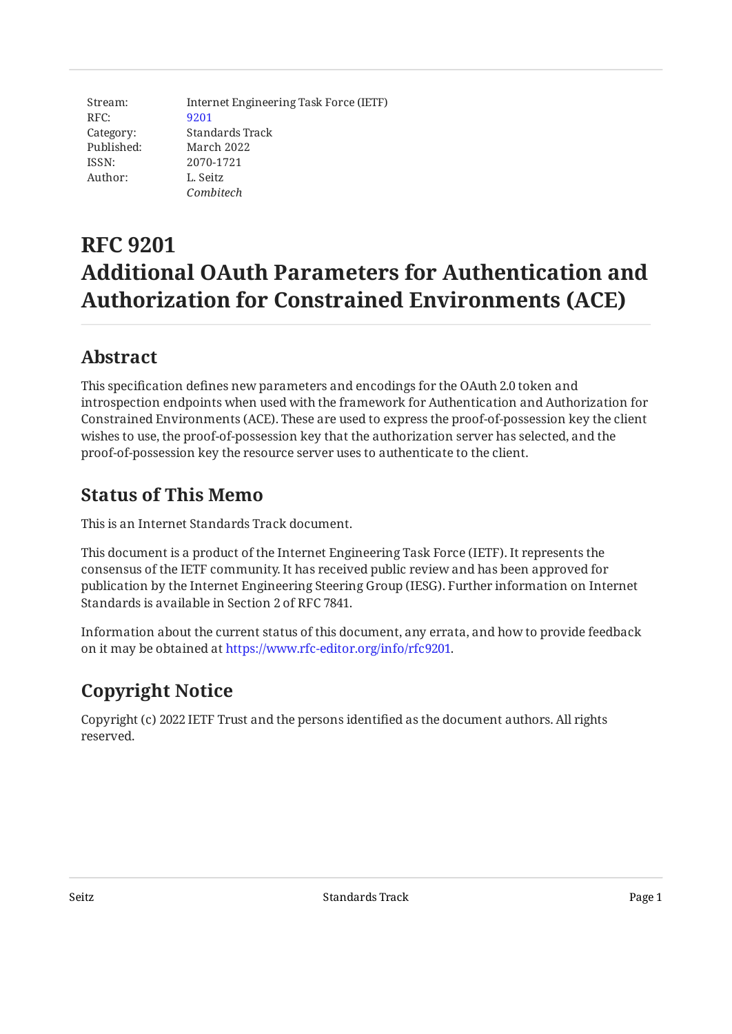Stream: RFC: Category: Published: ISSN: Author: Internet Engineering Task Force (IETF) [9201](https://www.rfc-editor.org/rfc/rfc9201) Standards Track March 2022 2070-1721 L. Seitz *Combitech*

# **RFC 9201 Additional OAuth Parameters for Authentication and Authorization for Constrained Environments (ACE)**

### <span id="page-0-0"></span>**[Abstract](#page-0-0)**

This specification defines new parameters and encodings for the OAuth 2.0 token and introspection endpoints when used with the framework for Authentication and Authorization for Constrained Environments (ACE). These are used to express the proof-of-possession key the client wishes to use, the proof-of-possession key that the authorization server has selected, and the proof-of-possession key the resource server uses to authenticate to the client.

### <span id="page-0-1"></span>**[Status of This Memo](#page-0-1)**

This is an Internet Standards Track document.

This document is a product of the Internet Engineering Task Force (IETF). It represents the consensus of the IETF community. It has received public review and has been approved for publication by the Internet Engineering Steering Group (IESG). Further information on Internet Standards is available in Section 2 of RFC 7841.

Information about the current status of this document, any errata, and how to provide feedback on it may be obtained at [https://www.rfc-editor.org/info/rfc9201.](https://www.rfc-editor.org/info/rfc9201)

## <span id="page-0-2"></span>**[Copyright Notice](#page-0-2)**

Copyright (c) 2022 IETF Trust and the persons identified as the document authors. All rights reserved.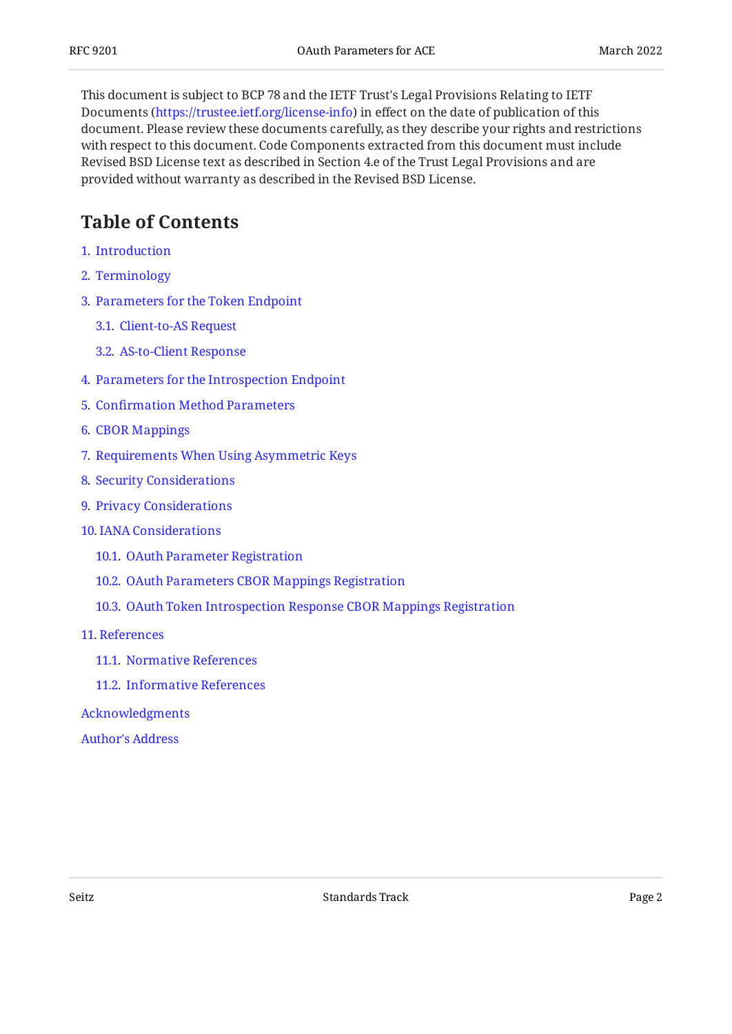This document is subject to BCP 78 and the IETF Trust's Legal Provisions Relating to IETF Documents (<https://trustee.ietf.org/license-info>) in effect on the date of publication of this document. Please review these documents carefully, as they describe your rights and restrictions with respect to this document. Code Components extracted from this document must include Revised BSD License text as described in Section 4.e of the Trust Legal Provisions and are provided without warranty as described in the Revised BSD License.

### <span id="page-1-0"></span>**[Table of Contents](#page-1-0)**

- [1](#page-2-0). [Introduction](#page-2-0)
- [2](#page-2-1). [Terminology](#page-2-1)
- [3](#page-2-2). [Parameters for the Token Endpoint](#page-2-2)
	- [3.1.](#page-2-3) [Client-to-AS Request](#page-2-3)
	- [3.2.](#page-3-0) [AS-to-Client Response](#page-3-0)
- [4](#page-5-0). [Parameters for the Introspection Endpoint](#page-5-0)
- [5](#page-6-0). Confi[rmation Method Parameters](#page-6-0)
- [6](#page-7-0). [CBOR Mappings](#page-7-0)
- [7](#page-7-1). [Requirements When Using Asymmetric Keys](#page-7-1)
- [8](#page-7-2). [Security Considerations](#page-7-2)
- [9](#page-7-3). [Privacy Considerations](#page-7-3)
- [10](#page-8-0). [IANA Considerations](#page-8-0)
	- [10.1.](#page-8-1) [OAuth Parameter Registration](#page-8-1)
	- [10.2.](#page-8-2) [OAuth Parameters CBOR Mappings Registration](#page-8-2)
	- [10.3.](#page-9-0) [OAuth Token Introspection Response CBOR Mappings Registration](#page-9-0)

#### [11](#page-9-1). [References](#page-9-1)

- [11.1.](#page-9-2) [Normative References](#page-9-2)
- [11.2.](#page-10-0) [Informative References](#page-10-0)

[Acknowledgments](#page-10-1)

[Author's Address](#page-10-2)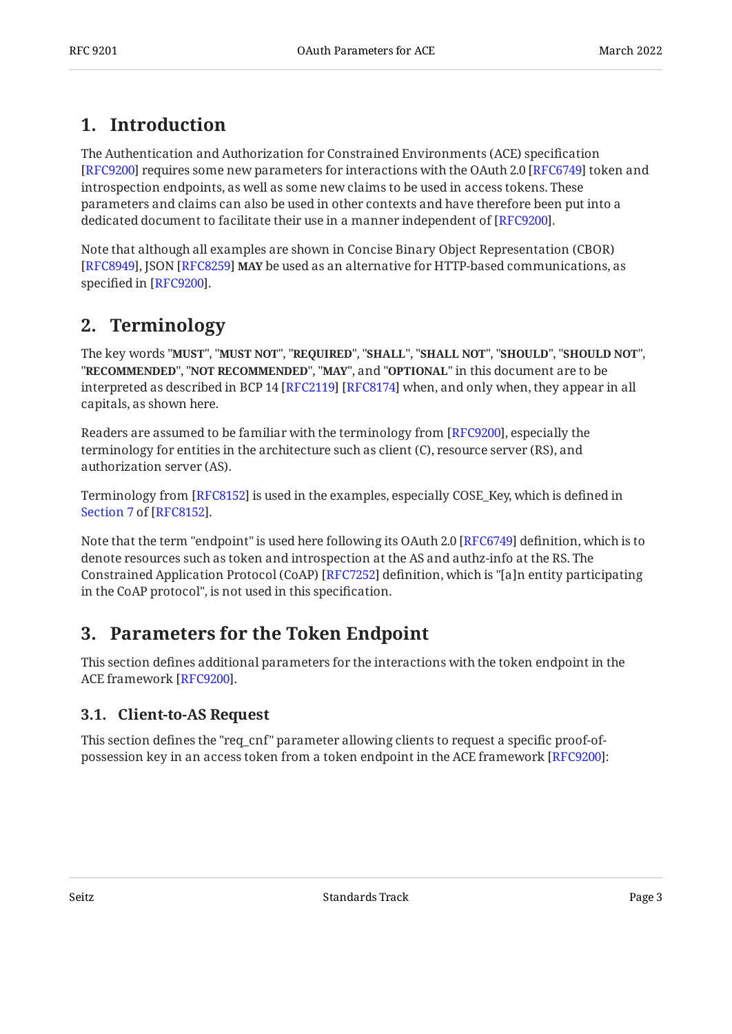### <span id="page-2-0"></span>**[1. Introduction](#page-2-0)**

The Authentication and Authorization for Constrained Environments (ACE) specification [[RFC9200\]](#page-10-3) requires some new parameters for interactions with the OAuth 2.0 [RFC6749] token and introspection endpoints, as well as some new claims to be used in access tokens. These parameters and claims can also be used in other contexts and have therefore been put into a dedicated document to facilitate their use in a manner independent of [RFC9200].  $\,$ 

Note that although all examples are shown in Concise Binary Object Representation (CBOR) [[RFC8949\]](#page-10-4), JSON [RFC8259] **MAY** be used as an alternative for HTTP-based communications, as specified in [RFC9200].

### <span id="page-2-1"></span>**[2. Terminology](#page-2-1)**

The key words "MUST", "MUST NOT", "REQUIRED", "SHALL", "SHALL NOT", "SHOULD", "SHOULD NOT", "**RECOMMENDED", "NOT RECOMMENDED", "MAY",** and "OPTIONAL" in this document are to be interpreted as described in BCP 14 [RFC2119] [RFC8174] when, and only when, they appear in all capitals, as shown here.

Readers are assumed to be familiar with the terminology from [RFC9200], especially the terminology for entities in the architecture such as client (C), resource server (RS), and authorization server (AS).

Terminology from [RFC8152] is used in the examples, especially COSE\_Key, which is defined in . [Section 7](https://www.rfc-editor.org/rfc/rfc8152#section-7) of [[RFC8152\]](#page-9-7)

Note that the term "endpoint" is used here following its OAuth 2.0 [RFC6749] definition, which is to denote resources such as token and introspection at the AS and authz-info at the RS. The Constrained Application Protocol (CoAP) [\[RFC7252](#page-10-5)] definition, which is "[a]n entity participating in the CoAP protocol", is not used in this specification.

### <span id="page-2-2"></span>**[3. Parameters for the Token Endpoint](#page-2-2)**

This section defines additional parameters for the interactions with the token endpoint in the ACE framework [[RFC9200\]](#page-10-3).

#### <span id="page-2-3"></span>**[3.1. Client-to-AS Request](#page-2-3)**

This section defines the "req\_cnf" parameter allowing clients to request a specific proof-of-possession key in an access token from a token endpoint in the ACE framework [\[RFC9200\]](#page-10-3):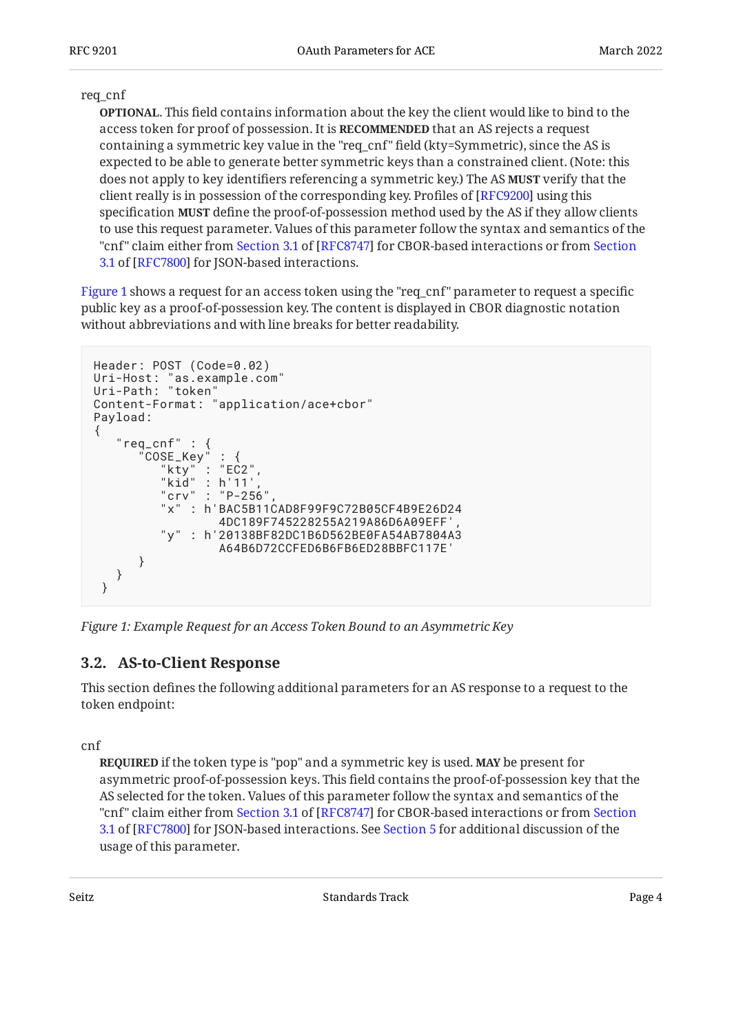#### req\_cnf

. This field contains information about the key the client would like to bind to the **OPTIONAL** access token for proof of possession. It is **RECOMMENDED** that an AS rejects a request containing a symmetric key value in the "req\_cnf" field (kty=Symmetric), since the AS is expected to be able to generate better symmetric keys than a constrained client. (Note: this does not apply to key identifiers referencing a symmetric key.) The AS **MUST** verify that the client really is in possession of the corresponding key. Profiles of [RFC9200] using this specification **MUST** define the proof-of-possession method used by the AS if they allow clients to use this request parameter. Values of this parameter follow the syntax and semantics of the "cnf"claim either from [Section](https://www.rfc-editor.org/rfc/rfc7800#section-3.1) 3.1 of [RFC8747] for CBOR-based interactions or from Section [3.1](https://www.rfc-editor.org/rfc/rfc7800#section-3.1) of [[RFC7800\]](#page-9-8) for JSON-based interactions.

[Figure 1](#page-3-1) shows a request for an access token using the "req\_cnf" parameter to request a specific public key as a proof-of-possession key. The content is displayed in CBOR diagnostic notation without abbreviations and with line breaks for better readability.

```
Header: POST (Code=0.02)<br>Uri-Host: "as.example.com"
Uri-Host: "as.example.com"
Uri-Path: "token"
Content-Format: "application/ace+cbor"
Payload:
{
 "req_cnf" : {
 "COSE_Key" : {
           "kty" : "EC2",
 "kid" : h'11',
 "crv" : "P-256",
           "x" : h'BAC5B11CAD8F99F9C72B05CF4B9E26D24
                   4DC189F745228255A219A86D6A09EFF',
           "y" : h'20138BF82DC1B6D562BE0FA54AB7804A3
                   A64B6D72CCFED6B6FB6ED28BBFC117E'
       }
    }
  }
```
<span id="page-3-0"></span>*[Figure 1: Example Request for an Access Token Bound to an Asymmetric Key](#page-3-1)* 

#### **[3.2. AS-to-Client Response](#page-3-0)**

This section defines the following additional parameters for an AS response to a request to the token endpoint:

cnf

**REQUIRED** if the token type is "pop" and a symmetric key is used. **MAY** be present for asymmetric proof-of-possession keys. This field contains the proof-of-possession key that the AS selected for the token. Values of this parameter follow the syntax and semantics of the "cnf"claim either from [Section](https://www.rfc-editor.org/rfc/rfc7800#section-3.1) 3.1 of [RFC8747] for CBOR-based interactions or from Section 3.1 of [RFC7800] for JSON-based interactions. See [Section 5](#page-6-0) for additional discussion of the usage of this parameter.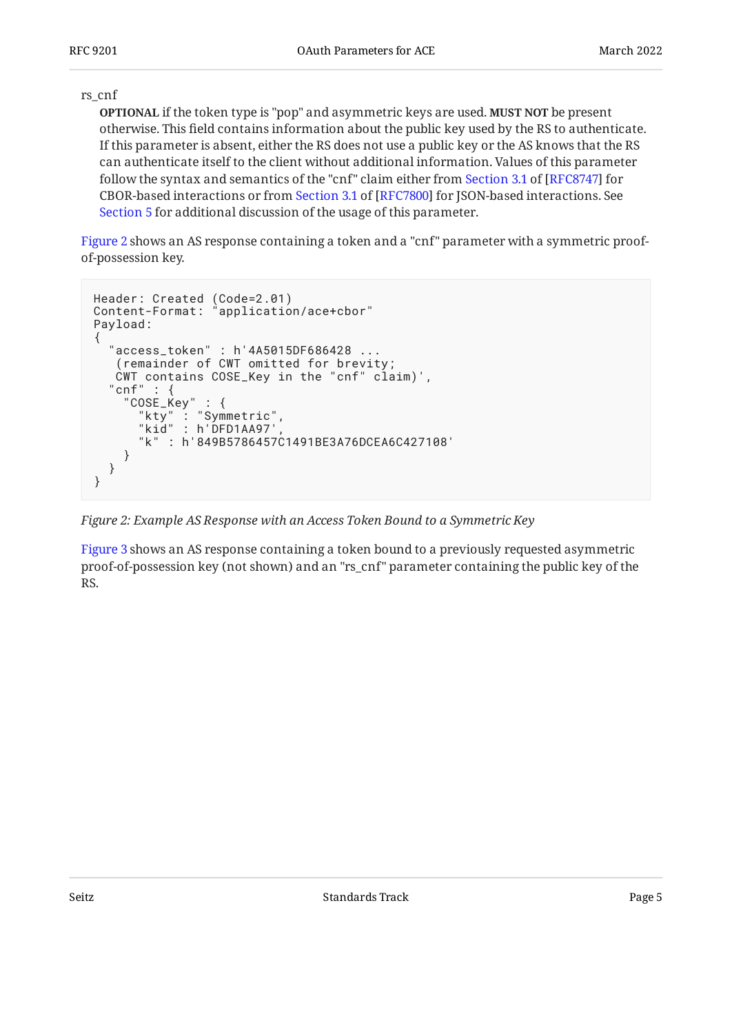#### rs\_cnf

**OPTIONAL** if the token type is "pop" and asymmetric keys are used. **MUST NOT** be present otherwise. This field contains information about the public key used by the RS to authenticate. If this parameter is absent, either the RS does not use a public key or the AS knows that the RS can authenticate itself to the client without additional information. Values of this parameter followthe syntax and semantics of the "cnf" claim either from Section 3.1 of [RFC8747] for CBOR-basedinteractions or from Section 3.1 of [RFC7800] for JSON-based interactions. See [Section 5](#page-6-0) for additional discussion of the usage of this parameter.

[Figure 2](#page-4-0) shows an AS response containing a token and a "cnf" parameter with a symmetric proofof-possession key.

```
Header: Created (Code=2.01)
Content-Format: "application/ace+cbor"
Payload:
{
   "access_token" : h'4A5015DF686428 ...
    (remainder of CWT omitted for brevity;
   CWT contains COSE_Key in the "cnf" claim)',
  "cnf" :: "COSE_Key" : {
 "kty" : "Symmetric",
 "kid" : h'DFD1AA97',
       "k" : h'849B5786457C1491BE3A76DCEA6C427108'
     }
   }
}
```
*[Figure 2: Example AS Response with an Access Token Bound to a Symmetric Key](#page-4-0)* 

<span id="page-4-1"></span>[Figure 3](#page-5-1) shows an AS response containing a token bound to a previously requested asymmetric proof-of-possession key (not shown) and an "rs\_cnf" parameter containing the public key of the RS.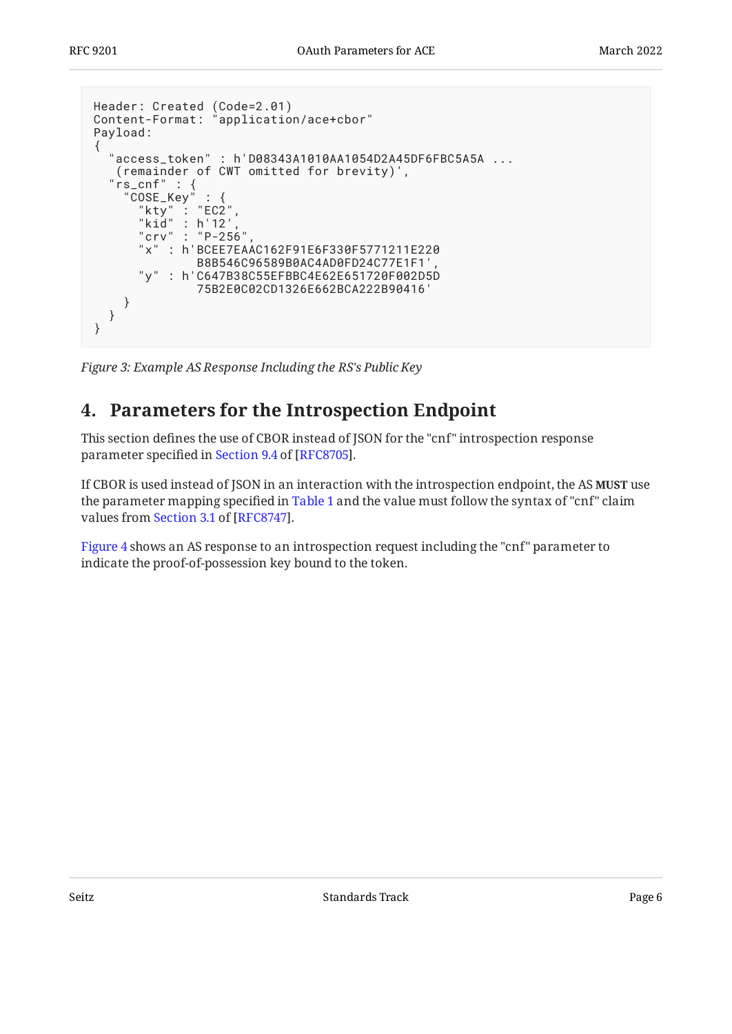```
Header: Created (Code=2.01)
Content-Format: "application/ace+cbor"
Payload:
{
 "access_token" : h'D08343A1010AA1054D2A45DF6FBC5A5A ...
 (remainder of CWT omitted for brevity)',
 "rs_cnf" : {
 "COSE_Key" : {
      "kty" : "EC2",
      "kid" : h'12'"crv" : "P-256" "x" : h'BCEE7EAAC162F91E6F330F5771211E220
               B8B546C96589B0AC4AD0FD24C77E1F1',
       "y" : h'C647B38C55EFBBC4E62E651720F002D5D
               75B2E0C02CD1326E662BCA222B90416'
     }
   }
}
```
<span id="page-5-0"></span>*[Figure 3:](#page-5-1) [Example AS Response Including the RS's Public Key](#page-4-1)* 

## **[4. Parameters for the Introspection Endpoint](#page-5-0)**

This section defines the use of CBOR instead of JSON for the "cnf" introspection response parameterspecified in Section 9.4 of [RFC8705].

If CBOR is used instead of JSON in an interaction with the introspection endpoint, the AS **MUST** use the parameter mapping specified in [Table 1](#page-7-4) and the value must follow the syntax of "cnf" claim valuesfrom Section 3.1 of [RFC8747].

<span id="page-5-2"></span>[Figure 4](#page-6-1) shows an AS response to an introspection request including the "cnf" parameter to indicate the proof-of-possession key bound to the token.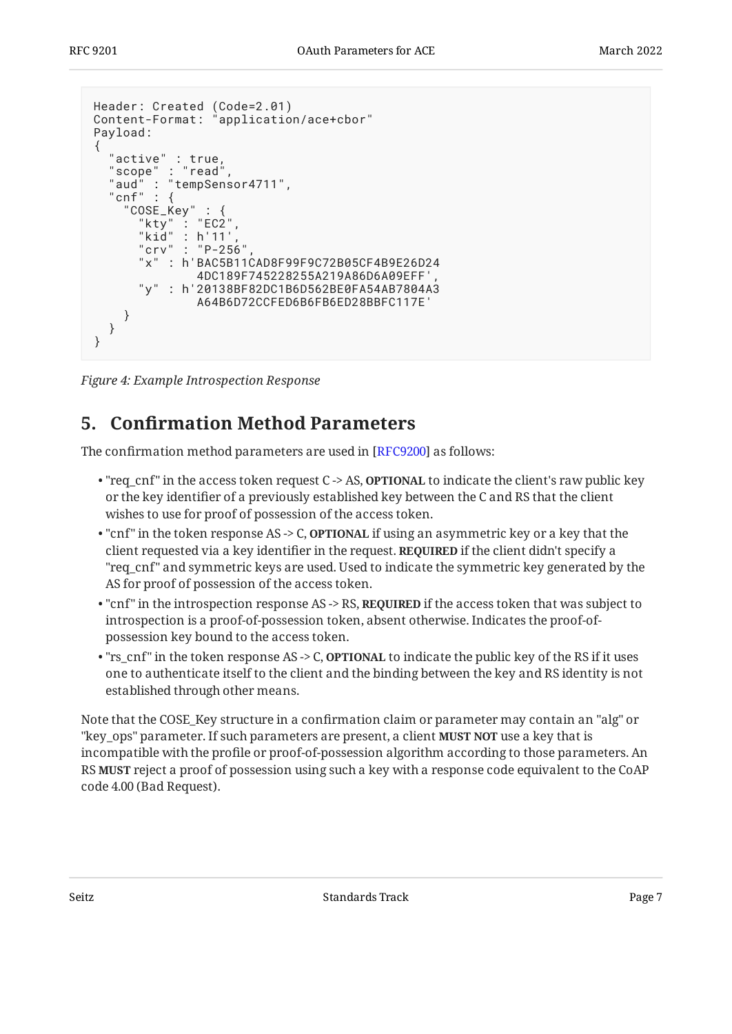```
Header: Created (Code=2.01)
Content-Format: "application/ace+cbor"
Payload:
{
 "active" : true,
 "scope" : "read",
 "aud" : "tempSensor4711",
  "cnf" : {
     "COSE_Key" : {
      "kty" : "EC2""kid" : h'11'"crv" : "P-256"
       "x" : h'BAC5B11CAD8F99F9C72B05CF4B9E26D24
               4DC189F745228255A219A86D6A09EFF',
       "y" : h'20138BF82DC1B6D562BE0FA54AB7804A3
               A64B6D72CCFED6B6FB6ED28BBFC117E'
     }
   }
}
```
<span id="page-6-0"></span>*[Figure 4:](#page-6-1) [Example Introspection Response](#page-5-2)* 

### **[5. C](#page-6-0)onfi[rmation Method Parameters](#page-6-0)**

The confirmation method parameters are used in [[RFC9200\]](#page-10-3) as follows:

- "req\_cnf" in the access token request C -> AS, **OPTIONAL** to indicate the client's raw public key or the key identifier of a previously established key between the C and RS that the client wishes to use for proof of possession of the access token.
- "cnf" in the token response AS -> C, **OPTIONAL** if using an asymmetric key or a key that the client requested via a key identifier in the request. **REQUIRED** if the client didn't specify a "req\_cnf" and symmetric keys are used. Used to indicate the symmetric key generated by the AS for proof of possession of the access token.
- $\bullet$  "cnf" in the introspection response AS -> RS,  $\texttt{REQURED}$  if the access token that was subject to introspection is a proof-of-possession token, absent otherwise. Indicates the proof-ofpossession key bound to the access token.
- "rs\_cnf" in the token response AS -> C, **OPTIONAL** to indicate the public key of the RS if it uses one to authenticate itself to the client and the binding between the key and RS identity is not established through other means.

Note that the COSE\_Key structure in a confirmation claim or parameter may contain an "alg" or "key\_ops" parameter. If such parameters are present, a client **MUST NOT** use a key that is incompatible with the profile or proof-of-possession algorithm according to those parameters. An RS **MUST** reject a proof of possession using such a key with a response code equivalent to the CoAP code 4.00 (Bad Request).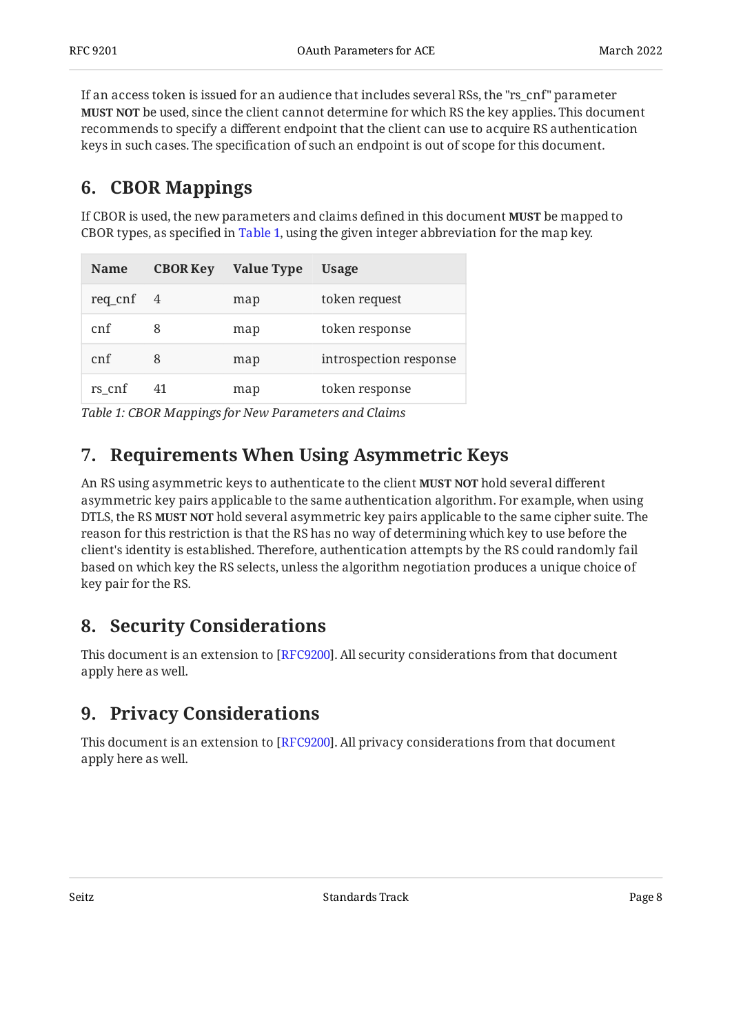If an access token is issued for an audience that includes several RSs, the "rs\_cnf" parameter be used, since the client cannot determine for which RS the key applies. This document **MUST NOT** recommends to specify a different endpoint that the client can use to acquire RS authentication keys in such cases. The specification of such an endpoint is out of scope for this document.

### <span id="page-7-0"></span>**[6. CBOR Mappings](#page-7-0)**

If CBOR is used, the new parameters and claims defined in this document **MUST** be mapped to CBOR types, as specified in [Table 1,](#page-7-4) using the given integer abbreviation for the map key.

<span id="page-7-4"></span>

| <b>Name</b>        | <b>CBOR Key</b> | <b>Value Type</b> | Usage                  |
|--------------------|-----------------|-------------------|------------------------|
| $req\_cnf \quad 4$ |                 | map               | token request          |
| cnf                | 8               | map               | token response         |
| cnf                | 8               | map               | introspection response |
| rs cnf             | 41              | map               | token response         |

<span id="page-7-1"></span>*[Table 1: CBOR Mappings for New Parameters and Claims](#page-7-4)* 

## **[7. Requirements When Using Asymmetric Keys](#page-7-1)**

An RS using asymmetric keys to authenticate to the client **MUST NOT** hold several different asymmetric key pairs applicable to the same authentication algorithm. For example, when using DTLS, the RS **MUST NOT** hold several asymmetric key pairs applicable to the same cipher suite. The reason for this restriction is that the RS has no way of determining which key to use before the client's identity is established. Therefore, authentication attempts by the RS could randomly fail based on which key the RS selects, unless the algorithm negotiation produces a unique choice of key pair for the RS.

### <span id="page-7-2"></span>**[8. Security Considerations](#page-7-2)**

This document is an extension to [RFC9200]. All security considerations from that document apply here as well.

## <span id="page-7-3"></span>**[9. Privacy Considerations](#page-7-3)**

This document is an extension to [RFC9200]. All privacy considerations from that document apply here as well.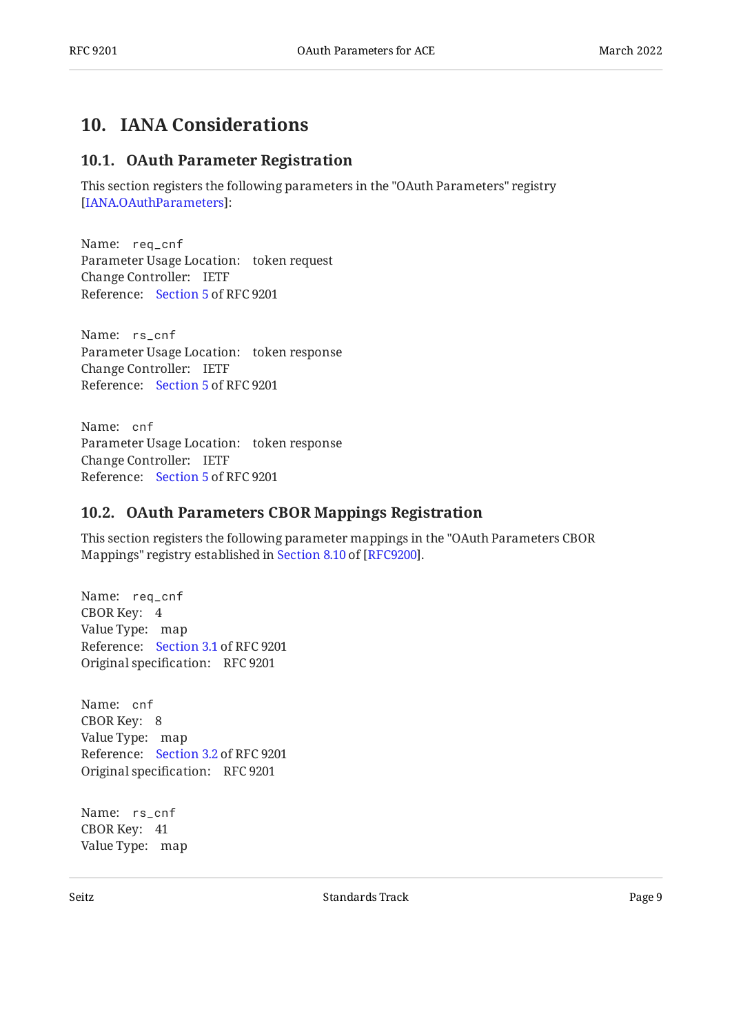#### <span id="page-8-1"></span><span id="page-8-0"></span>**[10. IANA Considerations](#page-8-0)**

#### **[10.1. OAuth Parameter Registration](#page-8-1)**

This section registers the following parameters in the "OAuth Parameters" registry : [[IANA.OAuthParameters](#page-9-10)]

Name: req\_cnf Parameter Usage Location: token request Change Controller: IETF Reference: [Section 5](#page-6-0) of RFC 9201

Name: rs\_cnf Parameter Usage Location: token response Change Controller: IETF Reference: [Section 5](#page-6-0) of RFC 9201

Name: cnf Parameter Usage Location: token response Change Controller: IETF Reference: [Section 5](#page-6-0) of RFC 9201

#### <span id="page-8-2"></span>**[10.2. OAuth Parameters CBOR Mappings Registration](#page-8-2)**

This section registers the following parameter mappings in the "OAuth Parameters CBOR Mappings"registry established in Section 8.10 of [RFC9200].

Name: req\_cnf CBOR Key: 4 Value Type: map Reference: [Section 3.1](#page-2-3) of RFC 9201 Original specification: RFC 9201

Name: cnf CBOR Key: 8 Value Type: map Reference: [Section 3.2](#page-3-0) of RFC 9201 Original specification: RFC 9201

Name: rs\_cnf CBOR Key: 41 Value Type: map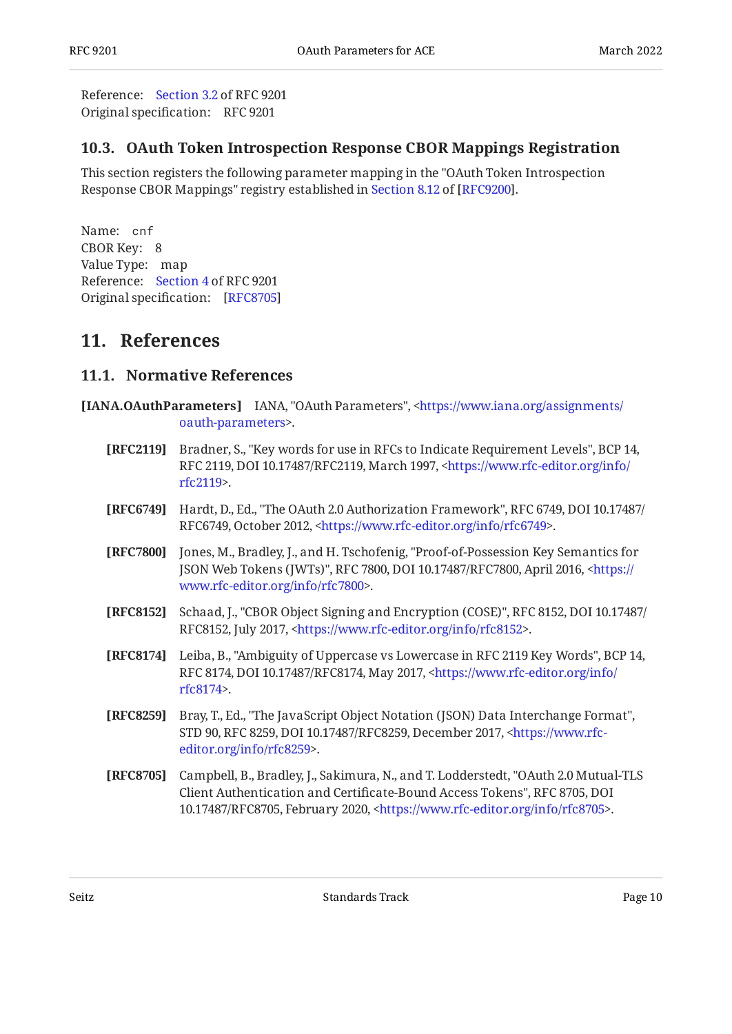Reference: [Section 3.2](#page-3-0) of RFC 9201 Original specification: RFC 9201

#### <span id="page-9-0"></span>**[10.3. OAuth Token Introspection Response CBOR Mappings Registration](#page-9-0)**

This section registers the following parameter mapping in the "OAuth Token Introspection ResponseCBOR Mappings" registry established in Section 8.12 of [RFC9200].

Name: cnf CBOR Key: 8 Value Type: map Reference: [Section 4](#page-5-0) of RFC 9201 Original specification: [\[RFC8705](#page-9-9)]

#### <span id="page-9-2"></span><span id="page-9-1"></span>**[11. References](#page-9-1)**

#### **[11.1. Normative References](#page-9-2)**

- <span id="page-9-10"></span><span id="page-9-9"></span><span id="page-9-8"></span><span id="page-9-7"></span><span id="page-9-6"></span><span id="page-9-5"></span><span id="page-9-4"></span><span id="page-9-3"></span>**[IANA.OAuthParameters]** IANA, "OAuth Parameters", [<https://www.iana.org/assignments/](https://www.iana.org/assignments/oauth-parameters) . [oauth-parameters](https://www.iana.org/assignments/oauth-parameters)>
	- **[RFC2119]** Bradner, S., "Key words for use in RFCs to Indicate Requirement Levels", BCP 14, RFC 2119, DOI 10.17487/RFC2119, March 1997, [<https://www.rfc-editor.org/info/](https://www.rfc-editor.org/info/rfc2119) . [rfc2119](https://www.rfc-editor.org/info/rfc2119)>
	- **[RFC6749]** Hardt, D., Ed., "The OAuth 2.0 Authorization Framework", RFC 6749, DOI 10.17487/ RFC6749, October 2012, [<https://www.rfc-editor.org/info/rfc6749](https://www.rfc-editor.org/info/rfc6749)>.
	- **[RFC7800]** Jones, M., Bradley, J., and H. Tschofenig, "Proof-of-Possession Key Semantics for JSON Web Tokens (JWTs)", RFC 7800, DOI 10.17487/RFC7800, April 2016, <[https://](https://www.rfc-editor.org/info/rfc7800) . [www.rfc-editor.org/info/rfc7800>](https://www.rfc-editor.org/info/rfc7800)
	- **[RFC8152]** Schaad, J., "CBOR Object Signing and Encryption (COSE)", RFC 8152, DOI 10.17487/ RFC8152, July 2017, <https://www.rfc-editor.org/info/rfc8152>.
	- **[RFC8174]** Leiba, B., "Ambiguity of Uppercase vs Lowercase in RFC 2119 Key Words", BCP 14, RFC 8174, DOI 10.17487/RFC8174, May 2017, <[https://www.rfc-editor.org/info/](https://www.rfc-editor.org/info/rfc8174) . [rfc8174](https://www.rfc-editor.org/info/rfc8174)>
	- **[RFC8259]** Bray, T., Ed., "The JavaScript Object Notation (JSON) Data Interchange Format", STD 90, RFC 8259, DOI 10.17487/RFC8259, December 2017, [<https://www.rfc-](https://www.rfc-editor.org/info/rfc8259). [editor.org/info/rfc8259](https://www.rfc-editor.org/info/rfc8259)>
	- **[RFC8705]** Campbell, B., Bradley, J., Sakimura, N., and T. Lodderstedt, "OAuth 2.0 Mutual-TLS Client Authentication and Certificate-Bound Access Tokens", RFC 8705, DOI 10.17487/RFC8705, February 2020, <https://www.rfc-editor.org/info/rfc8705>.